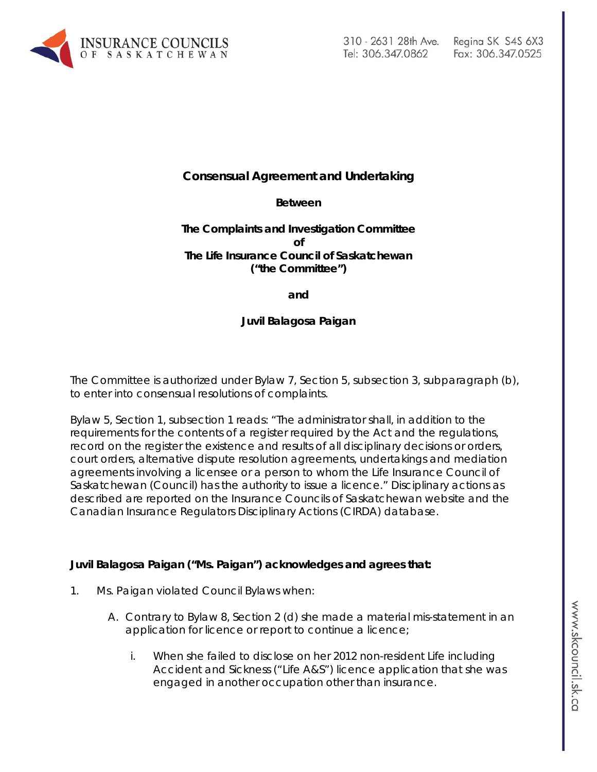

# Fax: 306.347.0525

# **Consensual Agreement and Undertaking**

## **Between**

# **The Complaints and Investigation Committee of The Life Insurance Council of Saskatchewan ("the Committee")**

**and**

# **Juvil Balagosa Paigan**

The Committee is authorized under Bylaw 7, Section 5, subsection 3, subparagraph (b), to enter into consensual resolutions of complaints.

Bylaw 5, Section 1, subsection 1 reads: "The administrator shall, in addition to the requirements for the contents of a register required by the Act and the regulations, record on the register the existence and results of all disciplinary decisions or orders, court orders, alternative dispute resolution agreements, undertakings and mediation agreements involving a licensee or a person to whom the Life Insurance Council of Saskatchewan (Council) has the authority to issue a licence." Disciplinary actions as described are reported on the Insurance Councils of Saskatchewan website and the Canadian Insurance Regulators Disciplinary Actions (CIRDA) database.

## **Juvil Balagosa Paigan ("Ms. Paigan") acknowledges and agrees that:**

- 1. Ms. Paigan violated Council Bylaws when:
	- A. Contrary to Bylaw 8, Section 2 (d) she made a material mis-statement in an application for licence or report to continue a licence;
		- i. When she failed to disclose on her 2012 non-resident Life including Accident and Sickness ("Life A&S") licence application that she was engaged in another occupation other than insurance.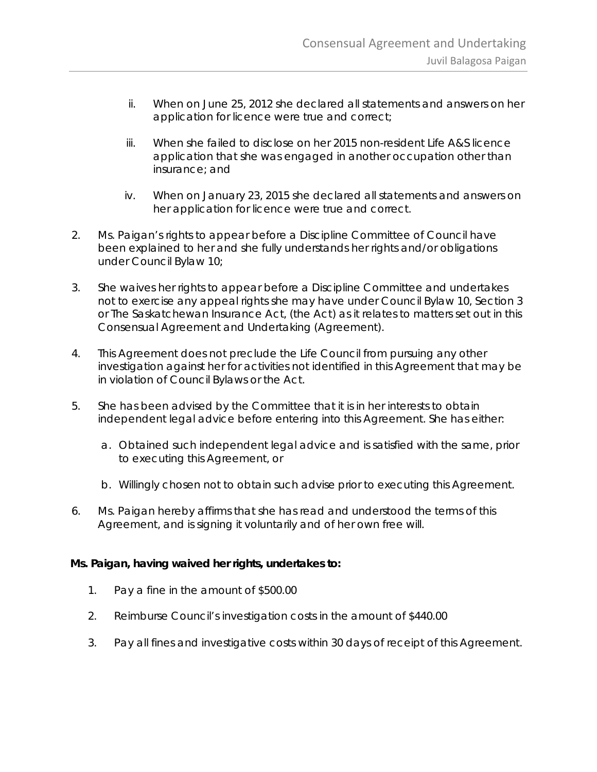- ii. When on June 25, 2012 she declared all statements and answers on her application for licence were true and correct;
- iii. When she failed to disclose on her 2015 non-resident Life A&S licence application that she was engaged in another occupation other than insurance; and
- iv. When on January 23, 2015 she declared all statements and answers on her application for licence were true and correct.
- 2. Ms. Paigan's rights to appear before a Discipline Committee of Council have been explained to her and she fully understands her rights and/or obligations under Council Bylaw 10;
- 3. She waives her rights to appear before a Discipline Committee and undertakes not to exercise any appeal rights she may have under Council Bylaw 10, Section 3 or *The Saskatchewan Insurance Act,* (the Act) as it relates to matters set out in this Consensual Agreement and Undertaking (Agreement).
- 4. This Agreement does not preclude the Life Council from pursuing any other investigation against her for activities not identified in this Agreement that may be in violation of Council Bylaws or the Act.
- 5. She has been advised by the Committee that it is in her interests to obtain independent legal advice before entering into this Agreement. She has either:
	- a. Obtained such independent legal advice and is satisfied with the same, prior to executing this Agreement, or
	- b. Willingly chosen not to obtain such advise prior to executing this Agreement.
- 6. Ms. Paigan hereby affirms that she has read and understood the terms of this Agreement, and is signing it voluntarily and of her own free will.

## **Ms. Paigan, having waived her rights, undertakes to:**

- 1. Pay a fine in the amount of \$500.00
- 2. Reimburse Council's investigation costs in the amount of \$440.00
- 3. Pay all fines and investigative costs within 30 days of receipt of this Agreement.